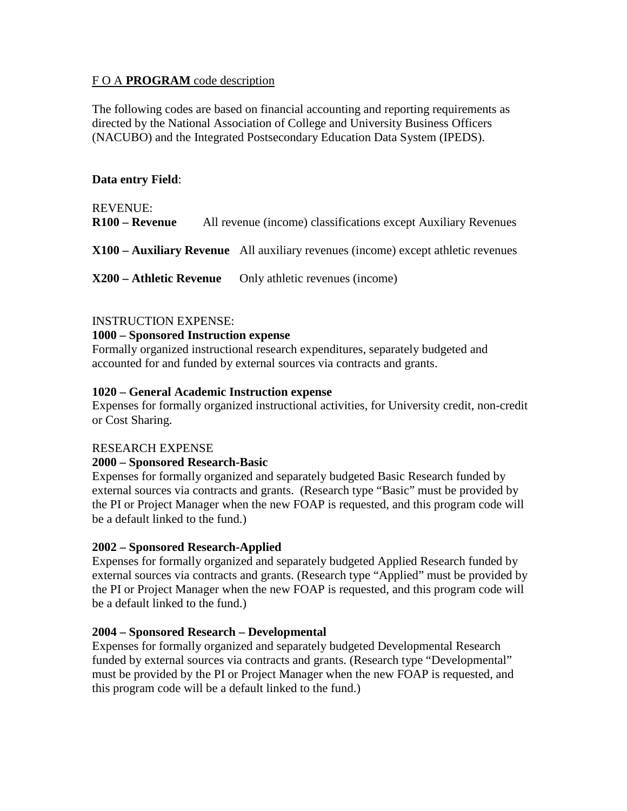## F O A **PROGRAM** code description

The following codes are based on financial accounting and reporting requirements as directed by the National Association of College and University Business Officers (NACUBO) and the Integrated Postsecondary Education Data System (IPEDS).

## **Data entry Field**:

REVENUE: **R100 – Revenue** All revenue (income) classifications except Auxiliary Revenues

**X100 – Auxiliary Revenue** All auxiliary revenues (income) except athletic revenues

**X200 – Athletic Revenue** Only athletic revenues (income)

# INSTRUCTION EXPENSE:

#### **1000 – Sponsored Instruction expense**

Formally organized instructional research expenditures, separately budgeted and accounted for and funded by external sources via contracts and grants.

#### **1020 – General Academic Instruction expense**

Expenses for formally organized instructional activities, for University credit, non-credit or Cost Sharing.

## RESEARCH EXPENSE

## **2000 – Sponsored Research-Basic**

Expenses for formally organized and separately budgeted Basic Research funded by external sources via contracts and grants. (Research type "Basic" must be provided by the PI or Project Manager when the new FOAP is requested, and this program code will be a default linked to the fund.)

## **2002 – Sponsored Research-Applied**

Expenses for formally organized and separately budgeted Applied Research funded by external sources via contracts and grants. (Research type "Applied" must be provided by the PI or Project Manager when the new FOAP is requested, and this program code will be a default linked to the fund.)

## **2004 – Sponsored Research – Developmental**

Expenses for formally organized and separately budgeted Developmental Research funded by external sources via contracts and grants. (Research type "Developmental" must be provided by the PI or Project Manager when the new FOAP is requested, and this program code will be a default linked to the fund.)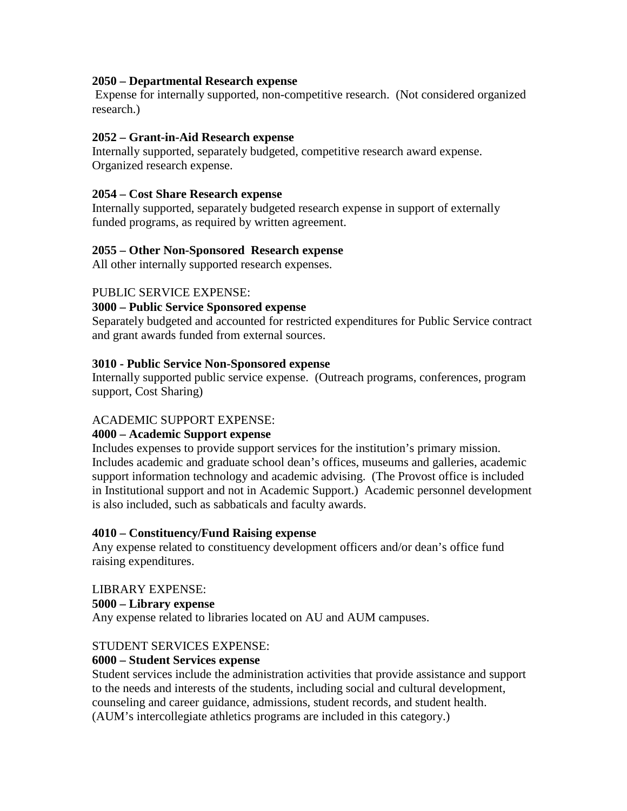## **2050 – Departmental Research expense**

Expense for internally supported, non-competitive research. (Not considered organized research.)

# **2052 – Grant-in-Aid Research expense**

Internally supported, separately budgeted, competitive research award expense. Organized research expense.

# **2054 – Cost Share Research expense**

Internally supported, separately budgeted research expense in support of externally funded programs, as required by written agreement.

# **2055 – Other Non-Sponsored Research expense**

All other internally supported research expenses.

## PUBLIC SERVICE EXPENSE:

## **3000 – Public Service Sponsored expense**

Separately budgeted and accounted for restricted expenditures for Public Service contract and grant awards funded from external sources.

# **3010 - Public Service Non-Sponsored expense**

Internally supported public service expense. (Outreach programs, conferences, program support, Cost Sharing)

# ACADEMIC SUPPORT EXPENSE:

# **4000 – Academic Support expense**

Includes expenses to provide support services for the institution's primary mission. Includes academic and graduate school dean's offices, museums and galleries, academic support information technology and academic advising. (The Provost office is included in Institutional support and not in Academic Support.) Academic personnel development is also included, such as sabbaticals and faculty awards.

## **4010 – Constituency/Fund Raising expense**

Any expense related to constituency development officers and/or dean's office fund raising expenditures.

## LIBRARY EXPENSE:

## **5000 – Library expense**

Any expense related to libraries located on AU and AUM campuses.

## STUDENT SERVICES EXPENSE:

## **6000 – Student Services expense**

Student services include the administration activities that provide assistance and support to the needs and interests of the students, including social and cultural development, counseling and career guidance, admissions, student records, and student health. (AUM's intercollegiate athletics programs are included in this category.)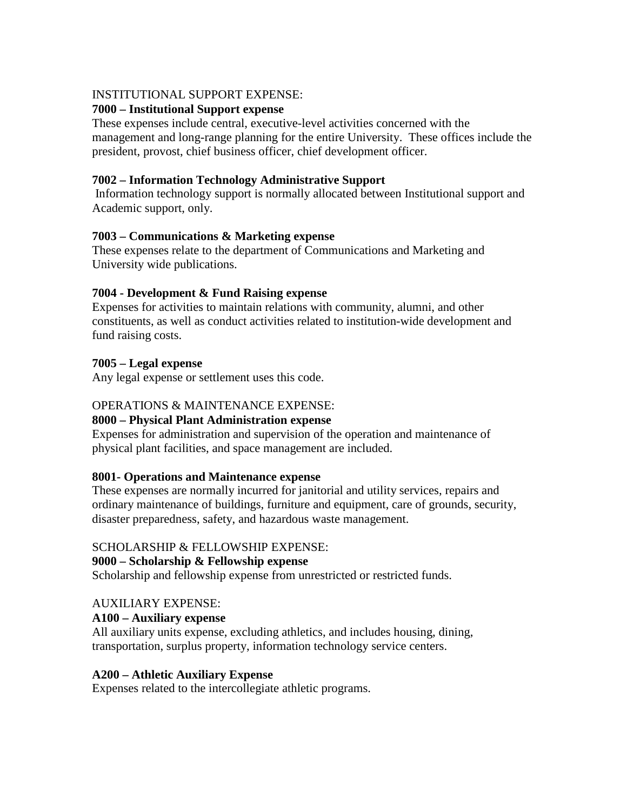## INSTITUTIONAL SUPPORT EXPENSE:

# **7000 – Institutional Support expense**

These expenses include central, executive-level activities concerned with the management and long-range planning for the entire University. These offices include the president, provost, chief business officer, chief development officer.

# **7002 – Information Technology Administrative Support**

Information technology support is normally allocated between Institutional support and Academic support, only.

## **7003 – Communications & Marketing expense**

These expenses relate to the department of Communications and Marketing and University wide publications.

# **7004 - Development & Fund Raising expense**

Expenses for activities to maintain relations with community, alumni, and other constituents, as well as conduct activities related to institution-wide development and fund raising costs.

# **7005 – Legal expense**

Any legal expense or settlement uses this code.

# OPERATIONS & MAINTENANCE EXPENSE:

## **8000 – Physical Plant Administration expense**

Expenses for administration and supervision of the operation and maintenance of physical plant facilities, and space management are included.

## **8001- Operations and Maintenance expense**

These expenses are normally incurred for janitorial and utility services, repairs and ordinary maintenance of buildings, furniture and equipment, care of grounds, security, disaster preparedness, safety, and hazardous waste management.

## SCHOLARSHIP & FELLOWSHIP EXPENSE:

## **9000 – Scholarship & Fellowship expense**

Scholarship and fellowship expense from unrestricted or restricted funds.

# AUXILIARY EXPENSE:

## **A100 – Auxiliary expense**

All auxiliary units expense, excluding athletics, and includes housing, dining, transportation, surplus property, information technology service centers.

## **A200 – Athletic Auxiliary Expense**

Expenses related to the intercollegiate athletic programs.